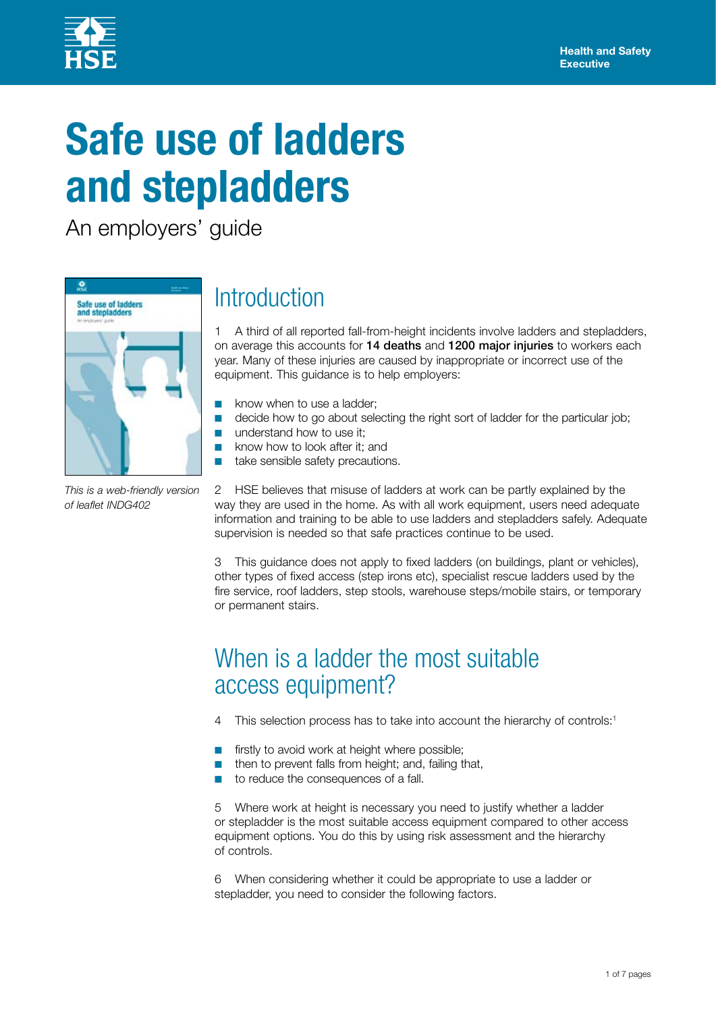

# **Safe use of ladders and stepladders**

■

An employers' guide



*This is a web-friendly version of leaflet INDG402*

# **Introduction**

1 A third of all reported fall-from-height incidents involve ladders and stepladders, on average this accounts for 14 deaths and 1200 major injuries to workers each year. Many of these injuries are caused by inappropriate or incorrect use of the equipment. This guidance is to help employers:

- know when to use a ladder; ■
- decide how to go about selecting the right sort of ladder for the particular job; ■
- understand how to use it; ■
	- know how to look after it; and
- take sensible safety precautions. ■

2 HSE believes that misuse of ladders at work can be partly explained by the way they are used in the home. As with all work equipment, users need adequate information and training to be able to use ladders and stepladders safely. Adequate supervision is needed so that safe practices continue to be used.

3 This guidance does not apply to fixed ladders (on buildings, plant or vehicles), other types of fixed access (step irons etc), specialist rescue ladders used by the fire service, roof ladders, step stools, warehouse steps/mobile stairs, or temporary or permanent stairs.

### When is a ladder the most suitable access equipment?

- 4 This selection process has to take into account the hierarchy of controls:<sup>1</sup>
- firstly to avoid work at height where possible; ■
- then to prevent falls from height; and, failing that, ■
- to reduce the consequences of a fall. ■

5 Where work at height is necessary you need to justify whether a ladder or stepladder is the most suitable access equipment compared to other access equipment options. You do this by using risk assessment and the hierarchy of controls.

6 When considering whether it could be appropriate to use a ladder or stepladder, you need to consider the following factors.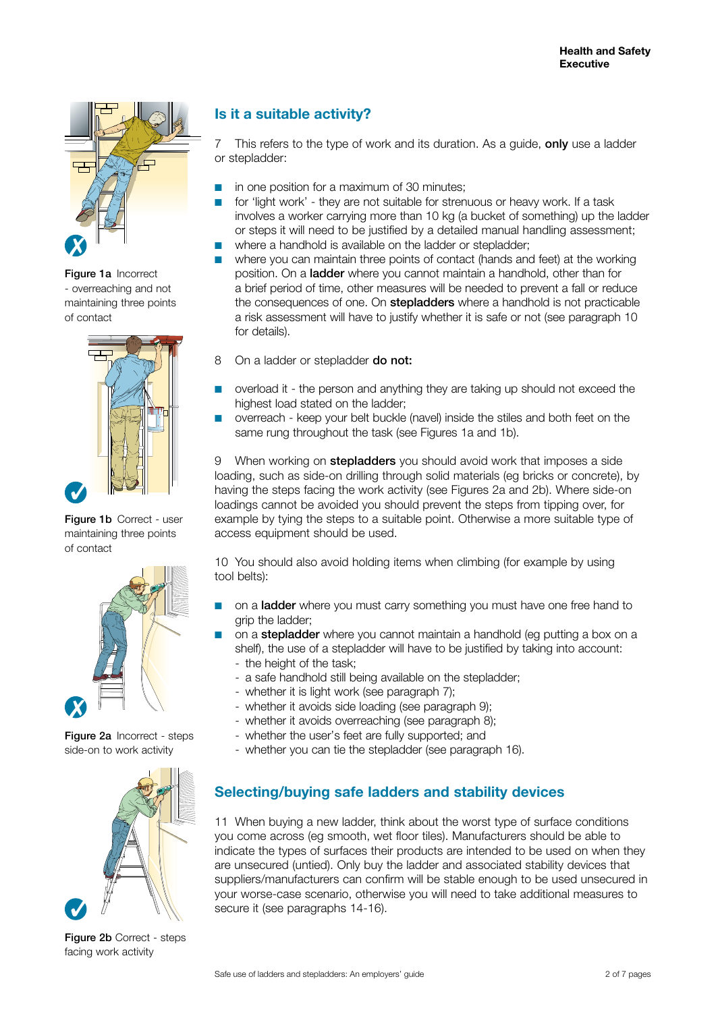

Figure 1a Incorrect - overreaching and not maintaining three points of contact



Figure 1b Correct - user maintaining three points of contact



Figure 2a Incorrect - steps side-on to work activity



Figure 2b Correct - steps facing work activity

### **Is it a suitable activity?**

7 This refers to the type of work and its duration. As a quide, only use a ladder or stepladder:

- in one position for a maximum of 30 minutes; ■
- for 'light work' they are not suitable for strenuous or heavy work. If a task involves a worker carrying more than 10 kg (a bucket of something) up the ladder or steps it will need to be justified by a detailed manual handling assessment; ■
- where a handhold is available on the ladder or stepladder; ■
- where you can maintain three points of contact (hands and feet) at the working position. On a ladder where you cannot maintain a handhold, other than for a brief period of time, other measures will be needed to prevent a fall or reduce the consequences of one. On **stepladders** where a handhold is not practicable a risk assessment will have to justify whether it is safe or not (see paragraph 10 for details). ■
- 8 On a ladder or stepladder **do not:**
- overload it the person and anything they are taking up should not exceed the highest load stated on the ladder: ■
- overreach keep your belt buckle (navel) inside the stiles and both feet on the same rung throughout the task (see Figures 1a and 1b). ■

9 When working on **stepladders** you should avoid work that imposes a side loading, such as side-on drilling through solid materials (eg bricks or concrete), by having the steps facing the work activity (see Figures 2a and 2b). Where side-on loadings cannot be avoided you should prevent the steps from tipping over, for example by tying the steps to a suitable point. Otherwise a more suitable type of access equipment should be used.

10 You should also avoid holding items when climbing (for example by using tool belts):

- on a **ladder** where you must carry something you must have one free hand to grip the ladder; ■
- on a stepladder where you cannot maintain a handhold (eg putting a box on a shelf), the use of a stepladder will have to be justified by taking into account: ■
	- the height of the task;
	- a safe handhold still being available on the stepladder;
	- whether it is light work (see paragraph 7);
	- whether it avoids side loading (see paragraph 9);
	- whether it avoids overreaching (see paragraph 8);
	- whether the user's feet are fully supported; and
	- whether you can tie the stepladder (see paragraph 16).

### **Selecting/buying safe ladders and stability devices**

11 When buying a new ladder, think about the worst type of surface conditions you come across (eg smooth, wet floor tiles). Manufacturers should be able to indicate the types of surfaces their products are intended to be used on when they are unsecured (untied). Only buy the ladder and associated stability devices that suppliers/manufacturers can confirm will be stable enough to be used unsecured in your worse-case scenario, otherwise you will need to take additional measures to secure it (see paragraphs 14-16).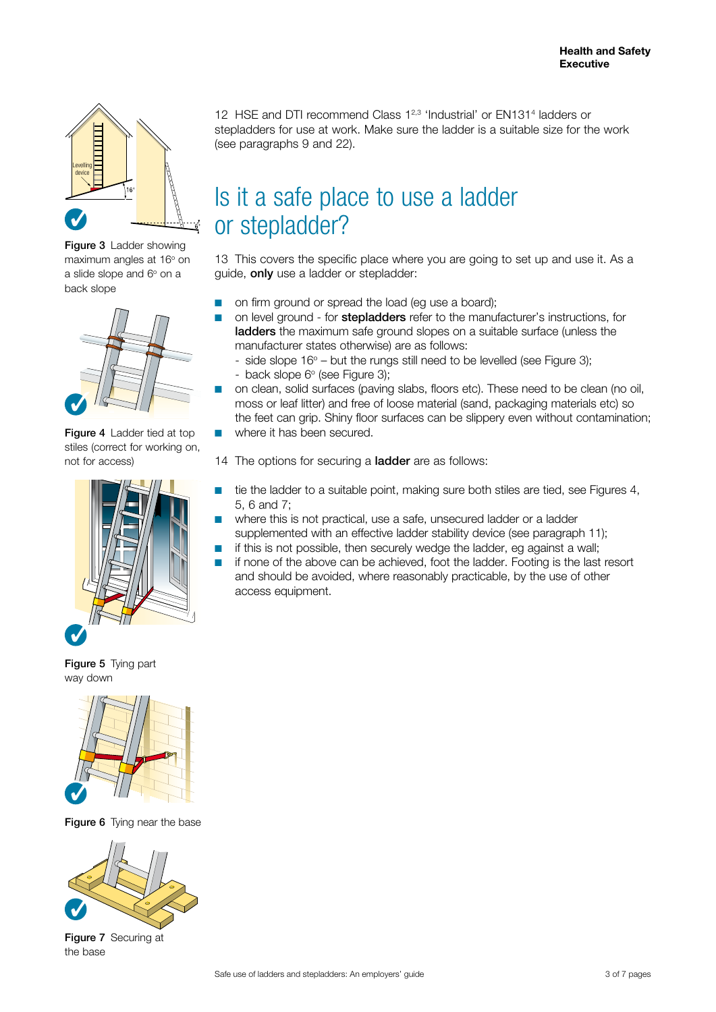

Figure 3 Ladder showing maximum angles at 16° on a slide slope and  $6^{\circ}$  on a back slope



Figure 4 Ladder tied at top stiles (correct for working on, not for access)



Figure 5 Tying part way down



Figure 6 Tying near the base



Figure 7 Securing at the base

12 HSE and DTI recommend Class 1<sup>2,3</sup> 'Industrial' or EN131<sup>4</sup> ladders or stepladders for use at work. Make sure the ladder is a suitable size for the work (see paragraphs 9 and 22).

### Is it a safe place to use a ladder or stepladder?

13 This covers the specific place where you are going to set up and use it. As a guide, only use a ladder or stepladder:

- on firm ground or spread the load (eg use a board); ■
- on level ground for **stepladders** refer to the manufacturer's instructions, for ladders the maximum safe ground slopes on a suitable surface (unless the manufacturer states otherwise) are as follows: ■
	- side slope  $16^{\circ}$  but the rungs still need to be levelled (see Figure 3); - back slope 6° (see Figure 3);
- on clean, solid surfaces (paving slabs, floors etc). These need to be clean (no oil, moss or leaf litter) and free of loose material (sand, packaging materials etc) so the feet can grip. Shiny floor surfaces can be slippery even without contamination; ■
- where it has been secured. ■

14 The options for securing a **ladder** are as follows:

- tie the ladder to a suitable point, making sure both stiles are tied, see Figures 4, 5, 6 and 7; ■
- where this is not practical, use a safe, unsecured ladder or a ladder supplemented with an effective ladder stability device (see paragraph 11); ■
- if this is not possible, then securely wedge the ladder, eg against a wall; ■
- if none of the above can be achieved, foot the ladder. Footing is the last resort and should be avoided, where reasonably practicable, by the use of other access equipment. ■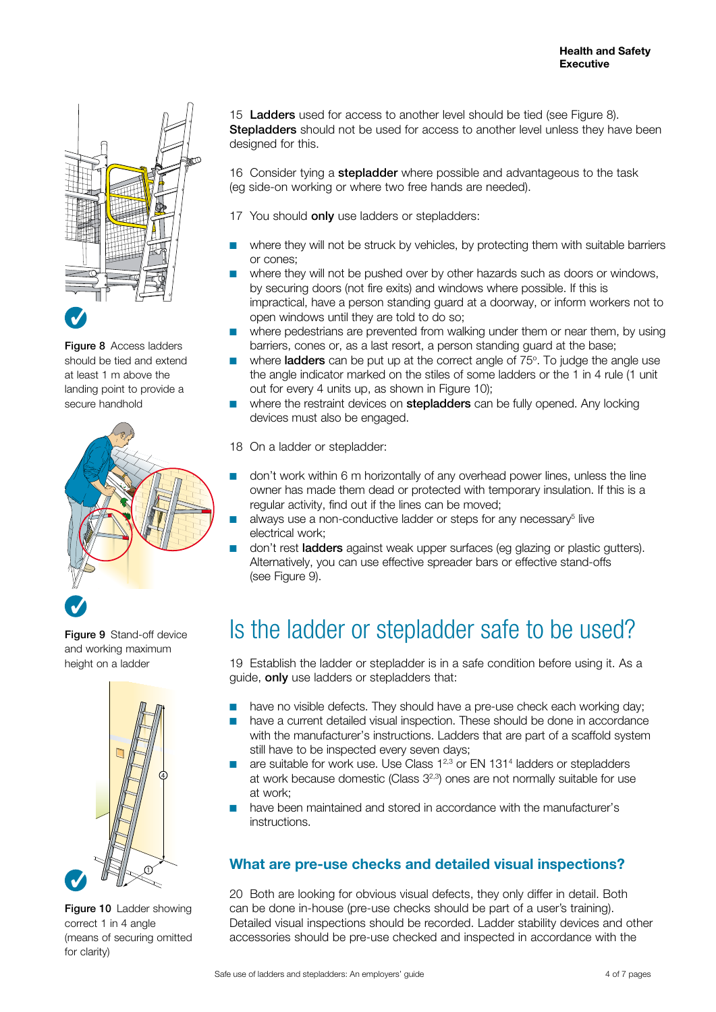

**Figure 8** Access ladders should be tied and extend at least 1 m above the landing point to provide a secure handhold



Figure 9 Stand-off device and working maximum height on a ladder



Figure 10 Ladder showing correct 1 in 4 angle (means of securing omitted for clarity)

15 **Ladders** used for access to another level should be tied (see Figure 8). **Stepladders** should not be used for access to another level unless they have been designed for this.

16 Consider tying a stepladder where possible and advantageous to the task (eg side-on working or where two free hands are needed).

- 17 You should **only** use ladders or stepladders:
- where they will not be struck by vehicles, by protecting them with suitable barriers or cones; ■
- where they will not be pushed over by other hazards such as doors or windows, by securing doors (not fire exits) and windows where possible. If this is impractical, have a person standing guard at a doorway, or inform workers not to open windows until they are told to do so; ■
- where pedestrians are prevented from walking under them or near them, by using barriers, cones or, as a last resort, a person standing guard at the base; ■
- where **ladders** can be put up at the correct angle of 75°. To judge the angle use the angle indicator marked on the stiles of some ladders or the 1 in 4 rule (1 unit out for every 4 units up, as shown in Figure 10): ■
- where the restraint devices on **stepladders** can be fully opened. Any locking devices must also be engaged. ■
- 18 On a ladder or stepladder:
- don't work within 6 m horizontally of any overhead power lines, unless the line owner has made them dead or protected with temporary insulation. If this is a regular activity, find out if the lines can be moved; ■
- always use a non-conductive ladder or steps for any necessary $5$  live electrical work; ■
- don't rest ladders against weak upper surfaces (eg glazing or plastic gutters). Alternatively, you can use effective spreader bars or effective stand-offs (see Figure 9). ■

### Is the ladder or stepladder safe to be used?

19 Establish the ladder or stepladder is in a safe condition before using it. As a guide, only use ladders or stepladders that:

- have no visible defects. They should have a pre-use check each working day; ■
- have a current detailed visual inspection. These should be done in accordance with the manufacturer's instructions. Ladders that are part of a scaffold system still have to be inspected every seven days; ■
- are suitable for work use. Use Class  $1^{2,3}$  or EN 131<sup>4</sup> ladders or stepladders at work because domestic (Class  $3^{2,3}$ ) ones are not normally suitable for use at work; ■
- have been maintained and stored in accordance with the manufacturer's instructions. ■

#### **What are pre-use checks and detailed visual inspections?**

20 Both are looking for obvious visual defects, they only differ in detail. Both can be done in-house (pre-use checks should be part of a user's training). Detailed visual inspections should be recorded. Ladder stability devices and other accessories should be pre-use checked and inspected in accordance with the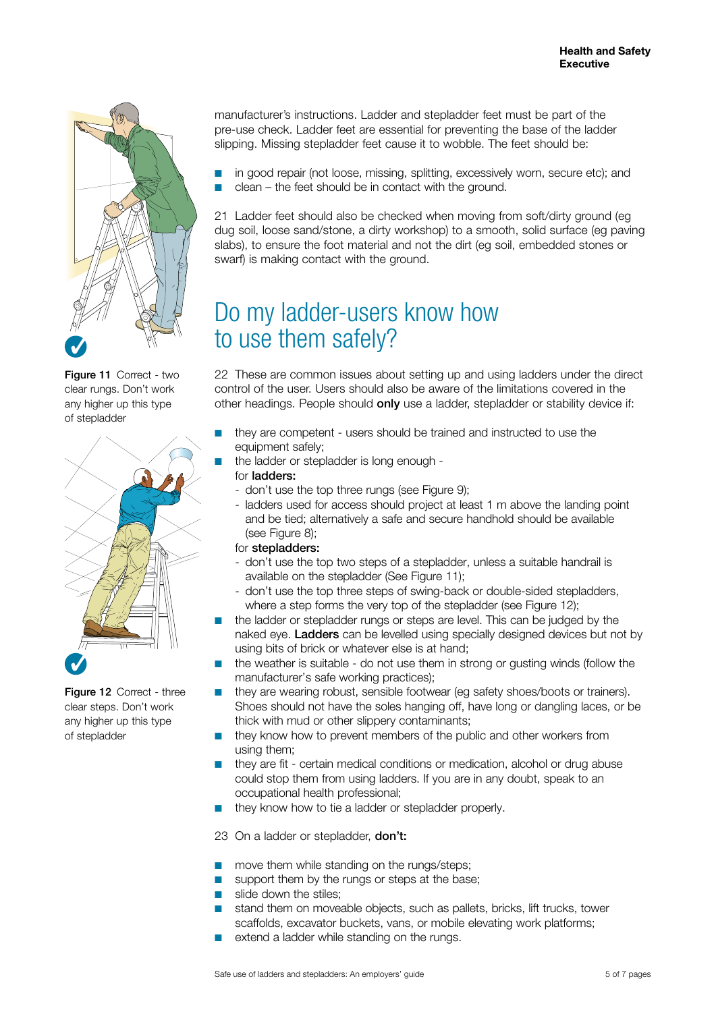

Figure 11 Correct - two clear rungs. Don't work any higher up this type of stepladder



Figure 12 Correct - three clear steps. Don't work any higher up this type of stepladder

manufacturer's instructions. Ladder and stepladder feet must be part of the pre-use check. Ladder feet are essential for preventing the base of the ladder slipping. Missing stepladder feet cause it to wobble. The feet should be:

in good repair (not loose, missing, splitting, excessively worn, secure etc); and clean – the feet should be in contact with the ground. ■ ■

21 Ladder feet should also be checked when moving from soft/dirty ground (eg dug soil, loose sand/stone, a dirty workshop) to a smooth, solid surface (eg paving slabs), to ensure the foot material and not the dirt (eg soil, embedded stones or swarf) is making contact with the ground.

## Do my ladder-users know how to use them safely?

22 These are common issues about setting up and using ladders under the direct control of the user. Users should also be aware of the limitations covered in the other headings. People should only use a ladder, stepladder or stability device if:

- they are competent users should be trained and instructed to use the equipment safely: ■
	- the ladder or stepladder is long enough -
	- for ladders:

■

- don't use the top three rungs (see Figure 9);
- ladders used for access should project at least 1 m above the landing point and be tied; alternatively a safe and secure handhold should be available (see Figure 8);
- for stepladders:
- don't use the top two steps of a stepladder, unless a suitable handrail is available on the stepladder (See Figure 11);
- don't use the top three steps of swing-back or double-sided stepladders, where a step forms the very top of the stepladder (see Figure 12);
- the ladder or stepladder rungs or steps are level. This can be judged by the naked eye. Ladders can be levelled using specially designed devices but not by using bits of brick or whatever else is at hand; ■
- the weather is suitable do not use them in strong or gusting winds (follow the manufacturer's safe working practices); ■
- they are wearing robust, sensible footwear (eg safety shoes/boots or trainers). Shoes should not have the soles hanging off, have long or dangling laces, or be thick with mud or other slippery contaminants; ■
- they know how to prevent members of the public and other workers from using them; ■
- they are fit certain medical conditions or medication, alcohol or drug abuse could stop them from using ladders. If you are in any doubt, speak to an occupational health professional;
- they know how to tie a ladder or stepladder properly. ■

23 On a ladder or stepladder, **don't:** 

- move them while standing on the rungs/steps; ■
- support them by the rungs or steps at the base; ■
- slide down the stiles; ■
- stand them on moveable objects, such as pallets, bricks, lift trucks, tower scaffolds, excavator buckets, vans, or mobile elevating work platforms; ■
- extend a ladder while standing on the rungs. ■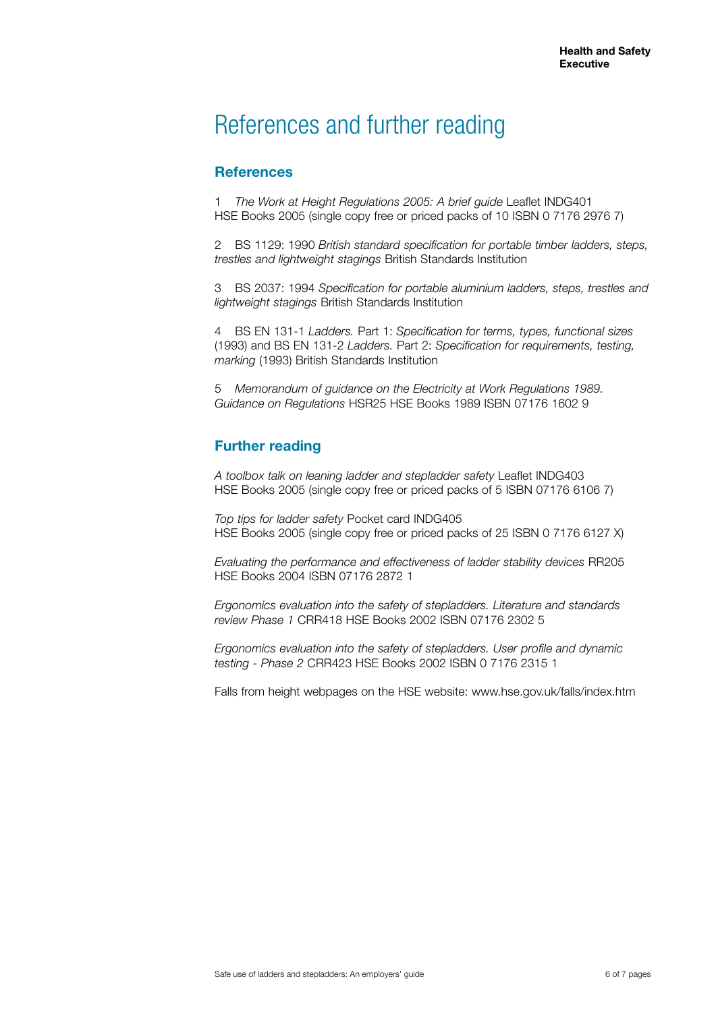### References and further reading

#### **References**

1 *The Work at Height Regulations 2005: A brief guide* Leaflet INDG401 HSE Books 2005 (single copy free or priced packs of 10 ISBN 0 7176 2976 7)

2 BS 1129: 1990 *British standard specification for portable timber ladders, steps, trestles and lightweight stagings* British Standards Institution

3 BS 2037: 1994 *Specification for portable aluminium ladders, steps, trestles and lightweight stagings* British Standards Institution

4 BS EN 131-1 *Ladders.* Part 1: *Specification for terms, types, functional sizes* (1993) and BS EN 131-2 *Ladders.* Part 2: *Specification for requirements, testing, marking* (1993) British Standards Institution

5 *Memorandum of guidance on the Electricity at Work Regulations 1989. Guidance on Regulations* HSR25 HSE Books 1989 ISBN 07176 1602 9

#### **Further reading**

*A toolbox talk on leaning ladder and stepladder safety* Leaflet INDG403 HSE Books 2005 (single copy free or priced packs of 5 ISBN 07176 6106 7)

*Top tips for ladder safety* Pocket card INDG405 HSE Books 2005 (single copy free or priced packs of 25 ISBN 0 7176 6127 X)

*Evaluating the performance and effectiveness of ladder stability devices* RR205 HSE Books 2004 ISBN 07176 2872 1

*Ergonomics evaluation into the safety of stepladders. Literature and standards review Phase 1* CRR418 HSE Books 2002 ISBN 07176 2302 5

*Ergonomics evaluation into the safety of stepladders. User profile and dynamic testing - Phase 2* CRR423 HSE Books 2002 ISBN 0 7176 2315 1

Falls from height webpages on the HSE website: www.hse.gov.uk/falls/index.htm